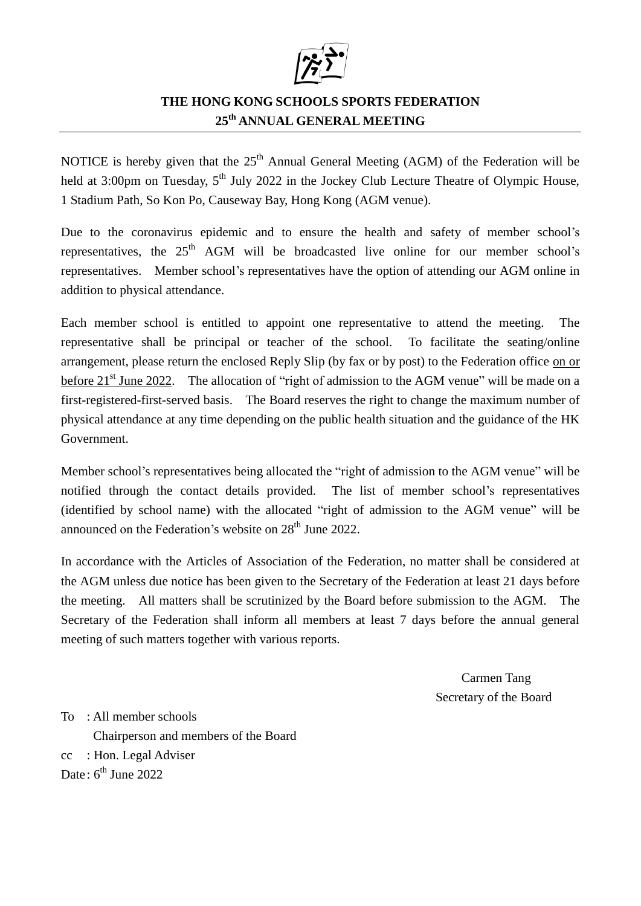

## **THE HONG KONG SCHOOLS SPORTS FEDERATION 25 th ANNUAL GENERAL MEETING**

NOTICE is hereby given that the  $25<sup>th</sup>$  Annual General Meeting (AGM) of the Federation will be held at 3:00pm on Tuesday, 5<sup>th</sup> July 2022 in the Jockey Club Lecture Theatre of Olympic House, 1 Stadium Path, So Kon Po, Causeway Bay, Hong Kong (AGM venue).

Due to the coronavirus epidemic and to ensure the health and safety of member school's representatives, the  $25<sup>th</sup>$  AGM will be broadcasted live online for our member school's representatives. Member school's representatives have the option of attending our AGM online in addition to physical attendance.

Each member school is entitled to appoint one representative to attend the meeting. The representative shall be principal or teacher of the school. To facilitate the seating/online arrangement, please return the enclosed Reply Slip (by fax or by post) to the Federation office on or before  $21<sup>st</sup>$  June 2022. The allocation of "right of admission to the AGM venue" will be made on a first-registered-first-served basis. The Board reserves the right to change the maximum number of physical attendance at any time depending on the public health situation and the guidance of the HK Government.

Member school's representatives being allocated the "right of admission to the AGM venue" will be notified through the contact details provided. The list of member school's representatives (identified by school name) with the allocated "right of admission to the AGM venue" will be announced on the Federation's website on  $28<sup>th</sup>$  June 2022.

In accordance with the Articles of Association of the Federation, no matter shall be considered at the AGM unless due notice has been given to the Secretary of the Federation at least 21 days before the meeting. All matters shall be scrutinized by the Board before submission to the AGM. The Secretary of the Federation shall inform all members at least 7 days before the annual general meeting of such matters together with various reports.

> Carmen Tang Secretary of the Board

To : All member schools Chairperson and members of the Board cc : Hon. Legal Adviser Date: 6<sup>th</sup> June 2022